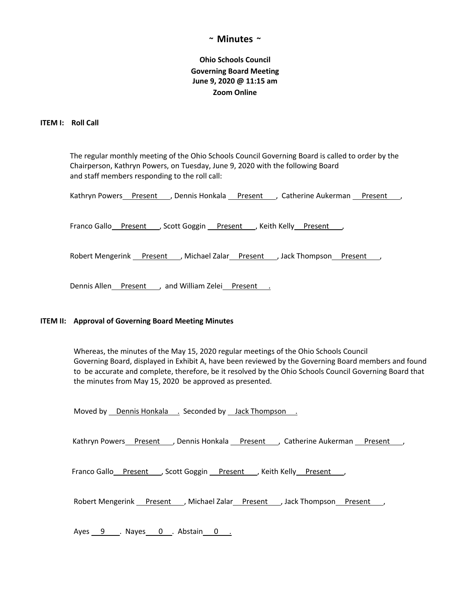## **~ Minutes ~**

# **Ohio Schools Council Governing Board Meeting June 9, 2020 @ 11:15 am Zoom Online**

### **ITEM I: Roll Call**

 The regular monthly meeting of the Ohio Schools Council Governing Board is called to order by the Chairperson, Kathryn Powers, on Tuesday, June 9, 2020 with the following Board and staff members responding to the roll call:

Kathryn Powers\_Rresent \_\_, Dennis Honkala \_Rresent \_\_\_, Catherine Aukerman \_Rresent \_\_\_,

Franco Gallo Present , Scott Goggin Present , Keith Kelly Present,

Robert Mengerink Present , Michael Zalar Present , Jack Thompson Present ,

Dennis Allen Present , and William Zelei Present .

#### **ITEM II: Approval of Governing Board Meeting Minutes**

 Whereas, the minutes of the May 15, 2020 regular meetings of the Ohio Schools Council Governing Board, displayed in Exhibit A, have been reviewed by the Governing Board members and found to be accurate and complete, therefore, be it resolved by the Ohio Schools Council Governing Board that the minutes from May 15, 2020 be approved as presented.

Moved by Dennis Honkala . Seconded by Jack Thompson .

Kathryn Powers Present , Dennis Honkala Present , Catherine Aukerman Present ,

Franco Gallo Present , Scott Goggin Present , Keith Kelly Present,

Robert Mengerink Present , Michael Zalar Present , Jack Thompson Present ,

Ayes 9 . Nayes 0 . Abstain 0 .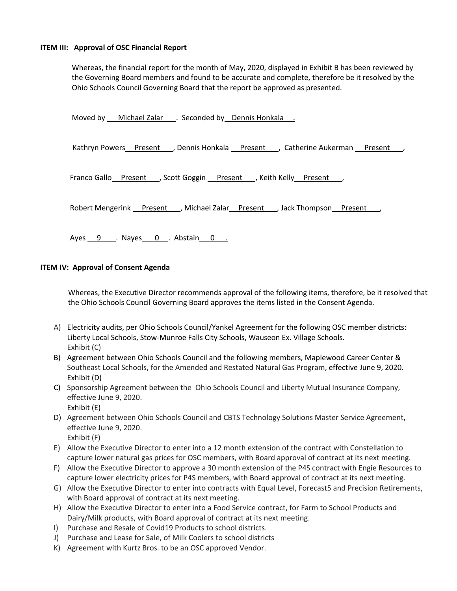#### **ITEM III: Approval of OSC Financial Report**

Whereas, the financial report for the month of May, 2020, displayed in Exhibit B has been reviewed by the Governing Board members and found to be accurate and complete, therefore be it resolved by the Ohio Schools Council Governing Board that the report be approved as presented.

Moved by \_\_\_ Michael Zalar \_\_\_ . Seconded by \_\_ Dennis Honkala \_\_\_ . Kathryn Powers Present , Dennis Honkala Present , Catherine Aukerman Present , Franco Gallo Present , Scott Goggin Present , Keith Kelly Present, Robert Mengerink Present , Michael Zalar Present , Jack Thompson Present Ayes 9 . Nayes 0 . Abstain 0 .

## **ITEM IV: Approval of Consent Agenda**

Whereas, the Executive Director recommends approval of the following items, therefore, be it resolved that the Ohio Schools Council Governing Board approves the items listed in the Consent Agenda.

- A) Electricity audits, per Ohio Schools Council/Yankel Agreement for the following OSC member districts: Liberty Local Schools, Stow-Munroe Falls City Schools, Wauseon Ex. Village Schools. Exhibit (C)
- B) Agreement between Ohio Schools Council and the following members, Maplewood Career Center & Southeast Local Schools, for the Amended and Restated Natural Gas Program, effective June 9, 2020. Exhibit (D)
- C) Sponsorship Agreement between the Ohio Schools Council and Liberty Mutual Insurance Company, effective June 9, 2020. Exhibit (E)
- D) Agreement between Ohio Schools Council and CBTS Technology Solutions Master Service Agreement, effective June 9, 2020. Exhibit (F)
- E) Allow the Executive Director to enter into a 12 month extension of the contract with Constellation to capture lower natural gas prices for OSC members, with Board approval of contract at its next meeting.
- F) Allow the Executive Director to approve a 30 month extension of the P4S contract with Engie Resources to capture lower electricity prices for P4S members, with Board approval of contract at its next meeting.
- G) Allow the Executive Director to enter into contracts with Equal Level, Forecast5 and Precision Retirements, with Board approval of contract at its next meeting.
- H) Allow the Executive Director to enter into a Food Service contract, for Farm to School Products and Dairy/Milk products, with Board approval of contract at its next meeting.
- I) Purchase and Resale of Covid19 Products to school districts.
- J) Purchase and Lease for Sale, of Milk Coolers to school districts
- K) Agreement with Kurtz Bros. to be an OSC approved Vendor.